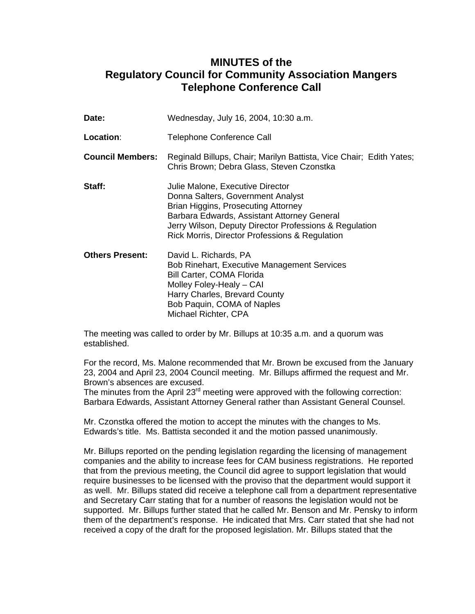# **MINUTES of the Regulatory Council for Community Association Mangers Telephone Conference Call**

| Date:                   | Wednesday, July 16, 2004, 10:30 a.m.                                                                                                                                                                                                                                    |
|-------------------------|-------------------------------------------------------------------------------------------------------------------------------------------------------------------------------------------------------------------------------------------------------------------------|
| Location:               | Telephone Conference Call                                                                                                                                                                                                                                               |
| <b>Council Members:</b> | Reginald Billups, Chair; Marilyn Battista, Vice Chair; Edith Yates;<br>Chris Brown; Debra Glass, Steven Czonstka                                                                                                                                                        |
| Staff:                  | Julie Malone, Executive Director<br>Donna Salters, Government Analyst<br>Brian Higgins, Prosecuting Attorney<br>Barbara Edwards, Assistant Attorney General<br>Jerry Wilson, Deputy Director Professions & Regulation<br>Rick Morris, Director Professions & Regulation |
| <b>Others Present:</b>  | David L. Richards, PA<br><b>Bob Rinehart, Executive Management Services</b><br><b>Bill Carter, COMA Florida</b><br>Molley Foley-Healy – CAI<br>Harry Charles, Brevard County<br>Bob Paquin, COMA of Naples<br>Michael Richter, CPA                                      |

The meeting was called to order by Mr. Billups at 10:35 a.m. and a quorum was established.

For the record, Ms. Malone recommended that Mr. Brown be excused from the January 23, 2004 and April 23, 2004 Council meeting. Mr. Billups affirmed the request and Mr. Brown's absences are excused.

The minutes from the April 23<sup>rd</sup> meeting were approved with the following correction: Barbara Edwards, Assistant Attorney General rather than Assistant General Counsel.

Mr. Czonstka offered the motion to accept the minutes with the changes to Ms. Edwards's title. Ms. Battista seconded it and the motion passed unanimously.

Mr. Billups reported on the pending legislation regarding the licensing of management companies and the ability to increase fees for CAM business registrations. He reported that from the previous meeting, the Council did agree to support legislation that would require businesses to be licensed with the proviso that the department would support it as well. Mr. Billups stated did receive a telephone call from a department representative and Secretary Carr stating that for a number of reasons the legislation would not be supported. Mr. Billups further stated that he called Mr. Benson and Mr. Pensky to inform them of the department's response. He indicated that Mrs. Carr stated that she had not received a copy of the draft for the proposed legislation. Mr. Billups stated that the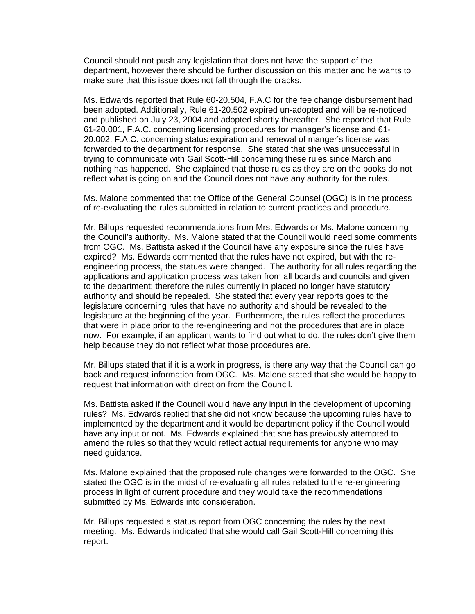Council should not push any legislation that does not have the support of the department, however there should be further discussion on this matter and he wants to make sure that this issue does not fall through the cracks.

Ms. Edwards reported that Rule 60-20.504, F.A.C for the fee change disbursement had been adopted. Additionally, Rule 61-20.502 expired un-adopted and will be re-noticed and published on July 23, 2004 and adopted shortly thereafter. She reported that Rule 61-20.001, F.A.C. concerning licensing procedures for manager's license and 61- 20.002, F.A.C. concerning status expiration and renewal of manger's license was forwarded to the department for response. She stated that she was unsuccessful in trying to communicate with Gail Scott-Hill concerning these rules since March and nothing has happened. She explained that those rules as they are on the books do not reflect what is going on and the Council does not have any authority for the rules.

Ms. Malone commented that the Office of the General Counsel (OGC) is in the process of re-evaluating the rules submitted in relation to current practices and procedure.

Mr. Billups requested recommendations from Mrs. Edwards or Ms. Malone concerning the Council's authority. Ms. Malone stated that the Council would need some comments from OGC. Ms. Battista asked if the Council have any exposure since the rules have expired? Ms. Edwards commented that the rules have not expired, but with the reengineering process, the statues were changed. The authority for all rules regarding the applications and application process was taken from all boards and councils and given to the department; therefore the rules currently in placed no longer have statutory authority and should be repealed. She stated that every year reports goes to the legislature concerning rules that have no authority and should be revealed to the legislature at the beginning of the year. Furthermore, the rules reflect the procedures that were in place prior to the re-engineering and not the procedures that are in place now. For example, if an applicant wants to find out what to do, the rules don't give them help because they do not reflect what those procedures are.

Mr. Billups stated that if it is a work in progress, is there any way that the Council can go back and request information from OGC. Ms. Malone stated that she would be happy to request that information with direction from the Council.

Ms. Battista asked if the Council would have any input in the development of upcoming rules? Ms. Edwards replied that she did not know because the upcoming rules have to implemented by the department and it would be department policy if the Council would have any input or not. Ms. Edwards explained that she has previously attempted to amend the rules so that they would reflect actual requirements for anyone who may need guidance.

Ms. Malone explained that the proposed rule changes were forwarded to the OGC. She stated the OGC is in the midst of re-evaluating all rules related to the re-engineering process in light of current procedure and they would take the recommendations submitted by Ms. Edwards into consideration.

Mr. Billups requested a status report from OGC concerning the rules by the next meeting. Ms. Edwards indicated that she would call Gail Scott-Hill concerning this report.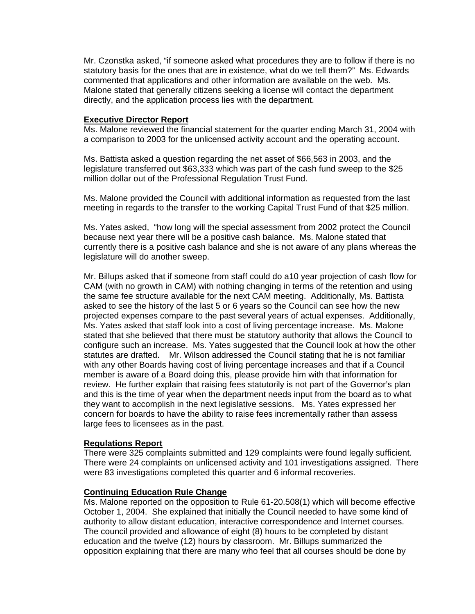Mr. Czonstka asked, "if someone asked what procedures they are to follow if there is no statutory basis for the ones that are in existence, what do we tell them?" Ms. Edwards commented that applications and other information are available on the web. Ms. Malone stated that generally citizens seeking a license will contact the department directly, and the application process lies with the department.

### **Executive Director Report**

Ms. Malone reviewed the financial statement for the quarter ending March 31, 2004 with a comparison to 2003 for the unlicensed activity account and the operating account.

Ms. Battista asked a question regarding the net asset of \$66,563 in 2003, and the legislature transferred out \$63,333 which was part of the cash fund sweep to the \$25 million dollar out of the Professional Regulation Trust Fund.

Ms. Malone provided the Council with additional information as requested from the last meeting in regards to the transfer to the working Capital Trust Fund of that \$25 million.

Ms. Yates asked, "how long will the special assessment from 2002 protect the Council because next year there will be a positive cash balance. Ms. Malone stated that currently there is a positive cash balance and she is not aware of any plans whereas the legislature will do another sweep.

Mr. Billups asked that if someone from staff could do a10 year projection of cash flow for CAM (with no growth in CAM) with nothing changing in terms of the retention and using the same fee structure available for the next CAM meeting. Additionally, Ms. Battista asked to see the history of the last 5 or 6 years so the Council can see how the new projected expenses compare to the past several years of actual expenses. Additionally, Ms. Yates asked that staff look into a cost of living percentage increase. Ms. Malone stated that she believed that there must be statutory authority that allows the Council to configure such an increase. Ms. Yates suggested that the Council look at how the other statutes are drafted. Mr. Wilson addressed the Council stating that he is not familiar with any other Boards having cost of living percentage increases and that if a Council member is aware of a Board doing this, please provide him with that information for review. He further explain that raising fees statutorily is not part of the Governor's plan and this is the time of year when the department needs input from the board as to what they want to accomplish in the next legislative sessions. Ms. Yates expressed her concern for boards to have the ability to raise fees incrementally rather than assess large fees to licensees as in the past.

### **Regulations Report**

There were 325 complaints submitted and 129 complaints were found legally sufficient. There were 24 complaints on unlicensed activity and 101 investigations assigned. There were 83 investigations completed this quarter and 6 informal recoveries.

### **Continuing Education Rule Change**

Ms. Malone reported on the opposition to Rule 61-20.508(1) which will become effective October 1, 2004. She explained that initially the Council needed to have some kind of authority to allow distant education, interactive correspondence and Internet courses. The council provided and allowance of eight (8) hours to be completed by distant education and the twelve (12) hours by classroom. Mr. Billups summarized the opposition explaining that there are many who feel that all courses should be done by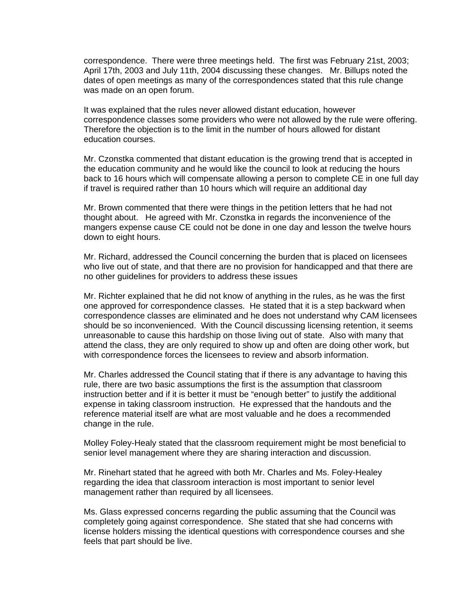correspondence. There were three meetings held. The first was February 21st, 2003; April 17th, 2003 and July 11th, 2004 discussing these changes. Mr. Billups noted the dates of open meetings as many of the correspondences stated that this rule change was made on an open forum.

It was explained that the rules never allowed distant education, however correspondence classes some providers who were not allowed by the rule were offering. Therefore the objection is to the limit in the number of hours allowed for distant education courses.

Mr. Czonstka commented that distant education is the growing trend that is accepted in the education community and he would like the council to look at reducing the hours back to 16 hours which will compensate allowing a person to complete CE in one full day if travel is required rather than 10 hours which will require an additional day

Mr. Brown commented that there were things in the petition letters that he had not thought about. He agreed with Mr. Czonstka in regards the inconvenience of the mangers expense cause CE could not be done in one day and lesson the twelve hours down to eight hours.

Mr. Richard, addressed the Council concerning the burden that is placed on licensees who live out of state, and that there are no provision for handicapped and that there are no other guidelines for providers to address these issues

Mr. Richter explained that he did not know of anything in the rules, as he was the first one approved for correspondence classes. He stated that it is a step backward when correspondence classes are eliminated and he does not understand why CAM licensees should be so inconvenienced. With the Council discussing licensing retention, it seems unreasonable to cause this hardship on those living out of state. Also with many that attend the class, they are only required to show up and often are doing other work, but with correspondence forces the licensees to review and absorb information.

Mr. Charles addressed the Council stating that if there is any advantage to having this rule, there are two basic assumptions the first is the assumption that classroom instruction better and if it is better it must be "enough better" to justify the additional expense in taking classroom instruction. He expressed that the handouts and the reference material itself are what are most valuable and he does a recommended change in the rule.

Molley Foley-Healy stated that the classroom requirement might be most beneficial to senior level management where they are sharing interaction and discussion.

Mr. Rinehart stated that he agreed with both Mr. Charles and Ms. Foley-Healey regarding the idea that classroom interaction is most important to senior level management rather than required by all licensees.

Ms. Glass expressed concerns regarding the public assuming that the Council was completely going against correspondence. She stated that she had concerns with license holders missing the identical questions with correspondence courses and she feels that part should be live.